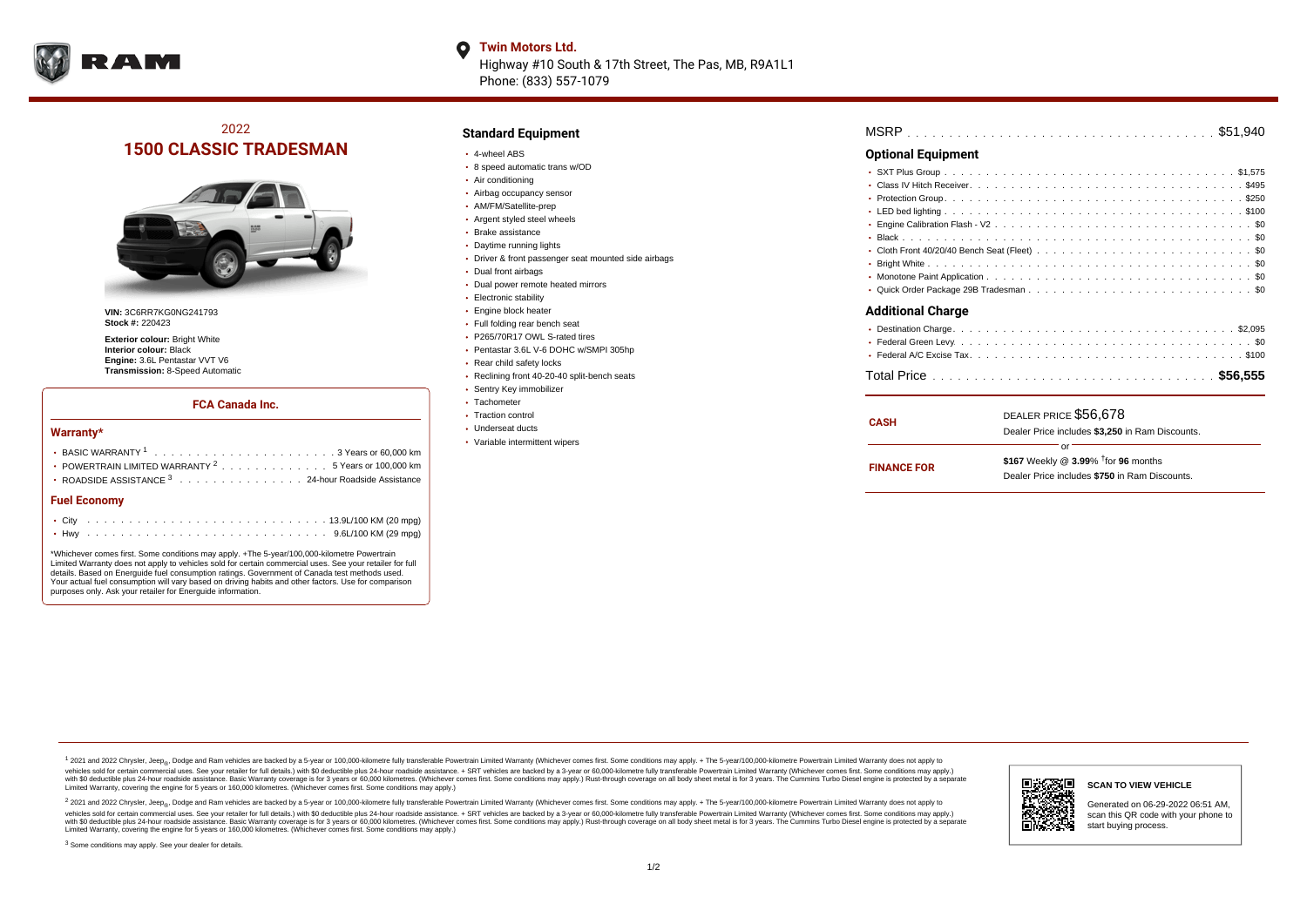

## **O** Twin Motors Ltd.

Highway #10 South & 17th Street, The Pas, MB, R9A1L1 Phone: (833) 557-1079

## 2022 **1500 CLASSIC TRADESMAN**



**VIN:** 3C6RR7KG0NG241793 **Stock #:** 220423

**Exterior colour:** Bright White **Interior colour:** Black **Engine:** 3.6L Pentastar VVT V6 **Transmission:** 8-Speed Automatic

### **FCA Canada Inc.**

#### **Warranty\***

| • POWERTRAIN LIMITED WARRANTY <sup>2</sup> 5 Years or 100,000 km<br>• ROADSIDE ASSISTANCE 3 24-hour Roadside Assistance |  |  |  |  |  |  |  |  |  |  |  |  |  |  |  |  |
|-------------------------------------------------------------------------------------------------------------------------|--|--|--|--|--|--|--|--|--|--|--|--|--|--|--|--|
| <b>Fuel Economy</b>                                                                                                     |  |  |  |  |  |  |  |  |  |  |  |  |  |  |  |  |
|                                                                                                                         |  |  |  |  |  |  |  |  |  |  |  |  |  |  |  |  |
|                                                                                                                         |  |  |  |  |  |  |  |  |  |  |  |  |  |  |  |  |

\*Whichever comes first. Some conditions may apply. +The 5-year/100,000-kilometre Powertrain Limited Warranty does not apply to vehicles sold for certain commercial uses. See your retailer for full details. Based on Energuide fuel consumption ratings. Government of Canada test methods used. Your actual fuel consumption will vary based on driving habits and other factors. Use for comparison purposes only. Ask your retailer for Energuide information.

## **Standard Equipment**

- 4-wheel ABS
- 8 speed automatic trans w/OD
- Air conditioning
- Airbag occupancy sensor
- AM/FM/Satellite-prep
- Argent styled steel wheels
- Brake assistance
- Daytime running lights
- Driver & front passenger seat mounted side airbags
- Dual front airbags
- Dual power remote heated mirrors
- Electronic stability
- Engine block heater
- Full folding rear bench seat
- P265/70R17 OWL S-rated tires
- Pentastar 3.6L V-6 DOHC w/SMPI 305hp
- Rear child safety locks
- Reclining front 40-20-40 split-bench seats
- Sentry Key immobilizer
- Tachometer
- Traction control Underseat ducts
- 
- Variable intermittent wipers

| MSRP |  |  |  |  |  |  |  |  |  |  |  |  |  |  |  |  |  |  |  |  |  |  |  |  |  |  |  |  |  |  |  |  |  |  |  |  |  |  |  |
|------|--|--|--|--|--|--|--|--|--|--|--|--|--|--|--|--|--|--|--|--|--|--|--|--|--|--|--|--|--|--|--|--|--|--|--|--|--|--|--|
|------|--|--|--|--|--|--|--|--|--|--|--|--|--|--|--|--|--|--|--|--|--|--|--|--|--|--|--|--|--|--|--|--|--|--|--|--|--|--|--|

### **Optional Equipment**

| <b>Additional Charge</b> |  |
|--------------------------|--|
|                          |  |
|                          |  |
|                          |  |

| CASH               | DEALER PRICE \$56.678<br>Dealer Price includes \$3,250 in Ram Discounts. |  |  |  |  |  |  |
|--------------------|--------------------------------------------------------------------------|--|--|--|--|--|--|
|                    | Ωr                                                                       |  |  |  |  |  |  |
| <b>FINANCE FOR</b> | \$167 Weekly @ $3.99\%$ <sup>†</sup> for 96 months                       |  |  |  |  |  |  |
|                    | Dealer Price includes \$750 in Ram Discounts.                            |  |  |  |  |  |  |

<sup>1</sup> 2021 and 2022 Chrysler, Jeep<sub>®</sub>, Dodge and Ram vehicles are backed by a 5-year or 100,000-kilometre fully transferable Powertrain Limited Warranty (Whichever comes first. Some conditions may apply. + The 5-year/100,000 vehicles sold for certain commercial uses. See your retailer for full details.) with \$0 deductible plus 24 hour roadside assistance. + SRT vehicles are backed by a 3-year or 60,000-kilometre fully transferable Powertrain L versus and contract the mean of the contract of the contract with a contract with a contract the contract of the contract of the contract the contract of the contract of the contract of the contract of the contract of the Limited Warranty, covering the engine for 5 years or 160,000 kilometres. (Whichever comes first. Some conditions may apply.)

2 2021 and 2022 Chrysler, Jeep<sub>®</sub>, Dodge and Ram vehicles are backed by a 5-year or 100,000-kilometre fully transferable Powertrain Limited Warranty (Whichever comes first. Some conditions may apply. + The 5-year/100,000-k vehicles sold for certain commercial uses. See your retailer for full details.) with SO deductible plus 24-hour roadside assistance. + SRT vehicles are backed by a 3-year or 60.000-kilometre fully transferable Powertrain. with S0 deductible plus 24-hour roadside assistance. Basic Warranty coverage is for 3 years or 60,000 kilometres. (Whichever comes first. Some conditions may apply.) Rust-through coverage on all body sheet metal is for 3 y

<sup>3</sup> Some conditions may apply. See your dealer for details.



Generated on 06-29-2022 06:51 AM, scan this QR code with your phone to start buying process.